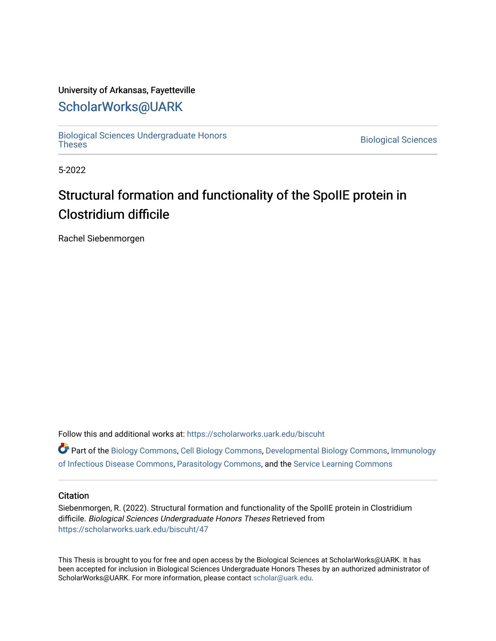## University of Arkansas, Fayetteville

# [ScholarWorks@UARK](https://scholarworks.uark.edu/)

[Biological Sciences Undergraduate Honors](https://scholarworks.uark.edu/biscuht)

**Biological Sciences** 

5-2022

# Structural formation and functionality of the SpoIIE protein in Clostridium difficile

Rachel Siebenmorgen

Follow this and additional works at: [https://scholarworks.uark.edu/biscuht](https://scholarworks.uark.edu/biscuht?utm_source=scholarworks.uark.edu%2Fbiscuht%2F47&utm_medium=PDF&utm_campaign=PDFCoverPages) 

Part of the [Biology Commons,](http://network.bepress.com/hgg/discipline/41?utm_source=scholarworks.uark.edu%2Fbiscuht%2F47&utm_medium=PDF&utm_campaign=PDFCoverPages) [Cell Biology Commons,](http://network.bepress.com/hgg/discipline/10?utm_source=scholarworks.uark.edu%2Fbiscuht%2F47&utm_medium=PDF&utm_campaign=PDFCoverPages) [Developmental Biology Commons](http://network.bepress.com/hgg/discipline/11?utm_source=scholarworks.uark.edu%2Fbiscuht%2F47&utm_medium=PDF&utm_campaign=PDFCoverPages), [Immunology](http://network.bepress.com/hgg/discipline/35?utm_source=scholarworks.uark.edu%2Fbiscuht%2F47&utm_medium=PDF&utm_campaign=PDFCoverPages) [of Infectious Disease Commons](http://network.bepress.com/hgg/discipline/35?utm_source=scholarworks.uark.edu%2Fbiscuht%2F47&utm_medium=PDF&utm_campaign=PDFCoverPages), [Parasitology Commons,](http://network.bepress.com/hgg/discipline/39?utm_source=scholarworks.uark.edu%2Fbiscuht%2F47&utm_medium=PDF&utm_campaign=PDFCoverPages) and the [Service Learning Commons](http://network.bepress.com/hgg/discipline/1024?utm_source=scholarworks.uark.edu%2Fbiscuht%2F47&utm_medium=PDF&utm_campaign=PDFCoverPages) 

#### **Citation**

Siebenmorgen, R. (2022). Structural formation and functionality of the SpoIIE protein in Clostridium difficile. Biological Sciences Undergraduate Honors Theses Retrieved from [https://scholarworks.uark.edu/biscuht/47](https://scholarworks.uark.edu/biscuht/47?utm_source=scholarworks.uark.edu%2Fbiscuht%2F47&utm_medium=PDF&utm_campaign=PDFCoverPages)

This Thesis is brought to you for free and open access by the Biological Sciences at ScholarWorks@UARK. It has been accepted for inclusion in Biological Sciences Undergraduate Honors Theses by an authorized administrator of ScholarWorks@UARK. For more information, please contact [scholar@uark.edu](mailto:scholar@uark.edu).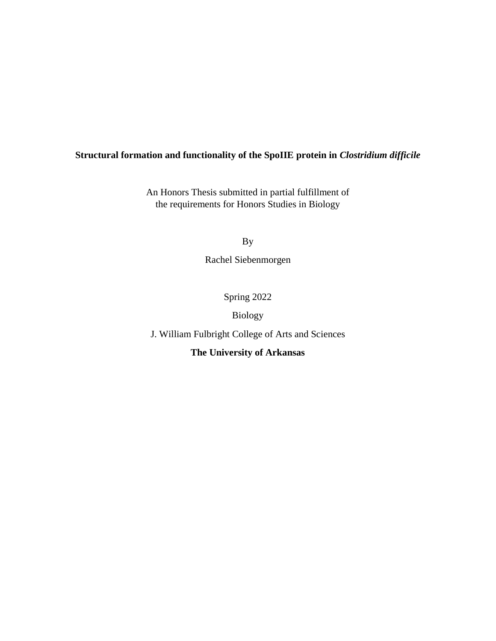## **Structural formation and functionality of the SpoIIE protein in** *Clostridium difficile*

An Honors Thesis submitted in partial fulfillment of the requirements for Honors Studies in Biology

By

Rachel Siebenmorgen

Spring 2022

Biology

J. William Fulbright College of Arts and Sciences

**The University of Arkansas**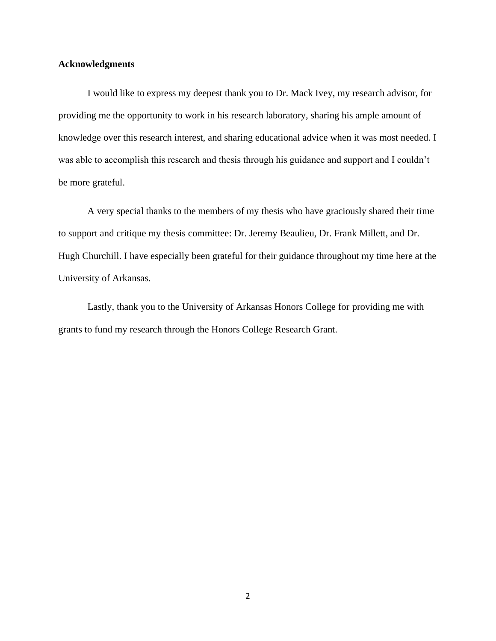#### **Acknowledgments**

I would like to express my deepest thank you to Dr. Mack Ivey, my research advisor, for providing me the opportunity to work in his research laboratory, sharing his ample amount of knowledge over this research interest, and sharing educational advice when it was most needed. I was able to accomplish this research and thesis through his guidance and support and I couldn't be more grateful.

A very special thanks to the members of my thesis who have graciously shared their time to support and critique my thesis committee: Dr. Jeremy Beaulieu, Dr. Frank Millett, and Dr. Hugh Churchill. I have especially been grateful for their guidance throughout my time here at the University of Arkansas.

Lastly, thank you to the University of Arkansas Honors College for providing me with grants to fund my research through the Honors College Research Grant.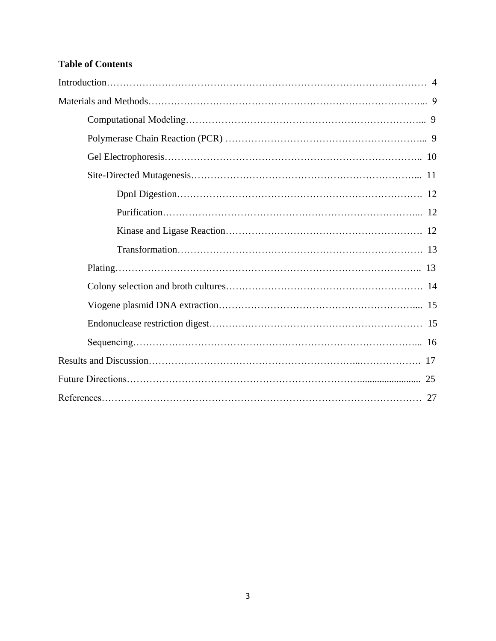# **Table of Contents**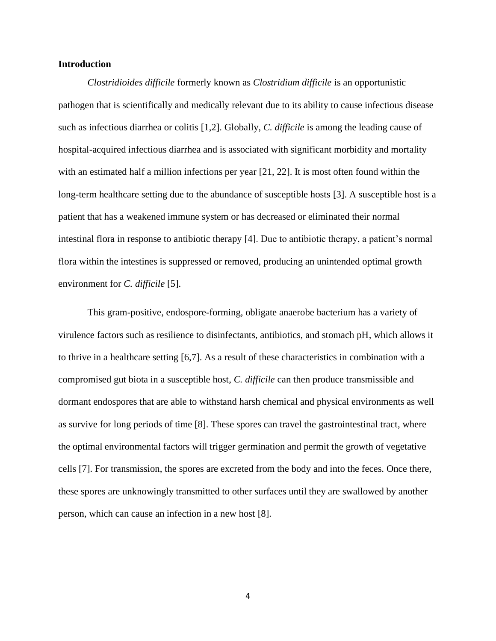#### **Introduction**

*Clostridioides difficile* formerly known as *Clostridium difficile* is an opportunistic pathogen that is scientifically and medically relevant due to its ability to cause infectious disease such as infectious diarrhea or colitis [\[1,2\].](https://paperpile.com/c/KhCDF0/4nu9+FspS) Globally, *C. difficile* is among the leading cause of hospital-acquired infectious diarrhea and is associated with significant morbidity and mortality with an estimated half a million infections per year [21, 22]. It is most often found within the long-term healthcare setting due to the abundance of susceptible hosts [\[3\].](https://paperpile.com/c/KhCDF0/HWvI) A susceptible host is a patient that has a weakened immune system or has decreased or eliminated their normal intestinal flora in response to antibiotic therapy [\[4\].](https://paperpile.com/c/KhCDF0/06oo) Due to antibiotic therapy, a patient's normal flora within the intestines is suppressed or removed, producing an unintended optimal growth environment for *C. difficile* [\[5\].](https://paperpile.com/c/KhCDF0/9jfh)

This gram-positive, endospore-forming, obligate anaerobe bacterium has a variety of virulence factors such as resilience to disinfectants, antibiotics, and stomach pH, which allows it to thrive in a healthcare setting [\[6,7\].](https://paperpile.com/c/KhCDF0/6Dyb) As a result of these characteristics in combination with a compromised gut biota in a susceptible host, *C. difficile* can then produce transmissible and dormant endospores that are able to withstand harsh chemical and physical environments as well as survive for long periods of time [8]. These spores can travel the gastrointestinal tract, where the optimal environmental factors will trigger germination and permit the growth of vegetative cells [7]. For transmission, the spores are excreted from the body and into the feces. Once there, these spores are unknowingly transmitted to other surfaces until they are swallowed by another person, which can cause an infection in a new host [\[8\].](https://paperpile.com/c/KhCDF0/PEGy)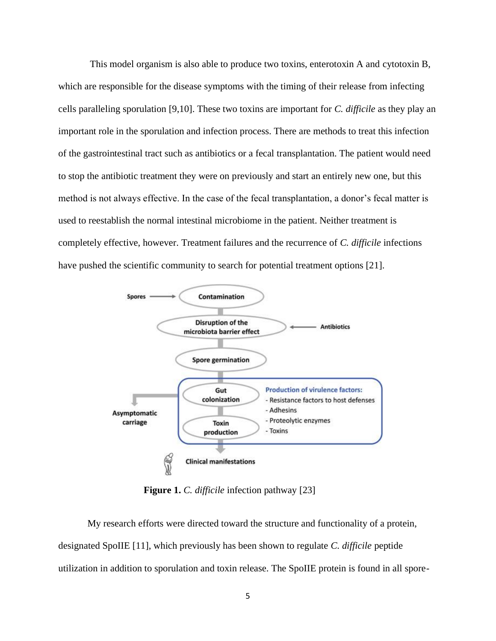This model organism is also able to produce two toxins, enterotoxin A and cytotoxin B, which are responsible for the disease symptoms with the timing of their release from infecting cells paralleling sporulation [\[9,10\].](https://paperpile.com/c/KhCDF0/vfRJ) These two toxins are important for *C. difficile* as they play an important role in the sporulation and infection process. There are methods to treat this infection of the gastrointestinal tract such as antibiotics or a fecal transplantation. The patient would need to stop the antibiotic treatment they were on previously and start an entirely new one, but this method is not always effective. In the case of the fecal transplantation, a donor's fecal matter is used to reestablish the normal intestinal microbiome in the patient. Neither treatment is completely effective, however. Treatment failures and the recurrence of *C. difficile* infections have pushed the scientific community to search for potential treatment options [21].



**Figure 1.** *C. difficile* infection pathway [23]

My research efforts were directed toward the structure and functionality of a protein, designated SpoIIE [\[11\],](https://paperpile.com/c/KhCDF0/lfFa) which previously has been shown to regulate *C. difficile* peptide utilization in addition to sporulation and toxin release. The SpoIIE protein is found in all spore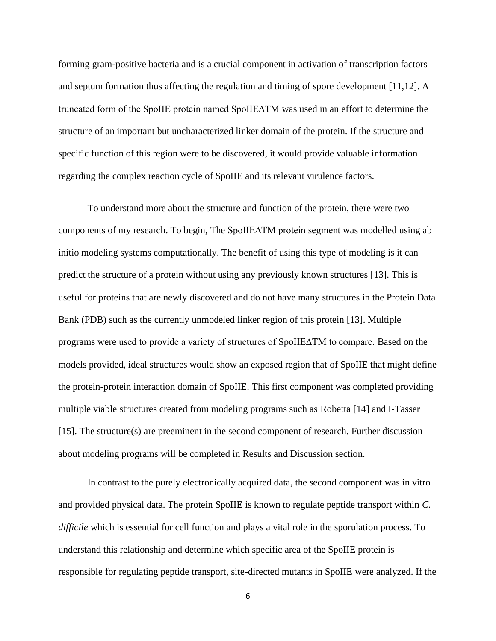forming gram-positive bacteria and is a crucial component in activation of transcription factors and septum formation thus affecting the regulation and timing of spore development [\[11,12\].](https://paperpile.com/c/KhCDF0/lfFa+6GAJ) A truncated form of the SpoIIE protein named SpoIIE∆TM was used in an effort to determine the structure of an important but uncharacterized linker domain of the protein. If the structure and specific function of this region were to be discovered, it would provide valuable information regarding the complex reaction cycle of SpoIIE and its relevant virulence factors.

To understand more about the structure and function of the protein, there were two components of my research. To begin, The SpoIIE∆TM protein segment was modelled using ab initio modeling systems computationally. The benefit of using this type of modeling is it can predict the structure of a protein without using any previously known structures [13]. This is useful for proteins that are newly discovered and do not have many structures in the Protein Data Bank (PDB) such as the currently unmodeled linker region of this protein [\[13\].](https://paperpile.com/c/KhCDF0/COMT) Multiple programs were used to provide a variety of structures of SpoIIE∆TM to compare. Based on the models provided, ideal structures would show an exposed region that of SpoIIE that might define the protein-protein interaction domain of SpoIIE. This first component was completed providing multiple viable structures created from modeling programs such as Robetta [\[14\]](https://paperpile.com/c/KhCDF0/8XSA) and I-Tasser [\[15\].](https://paperpile.com/c/KhCDF0/kwoE) The structure(s) are preeminent in the second component of research. Further discussion about modeling programs will be completed in Results and Discussion section.

In contrast to the purely electronically acquired data, the second component was in vitro and provided physical data. The protein SpoIIE is known to regulate peptide transport within *C. difficile* which is essential for cell function and plays a vital role in the sporulation process. To understand this relationship and determine which specific area of the SpoIIE protein is responsible for regulating peptide transport, site-directed mutants in SpoIIE were analyzed. If the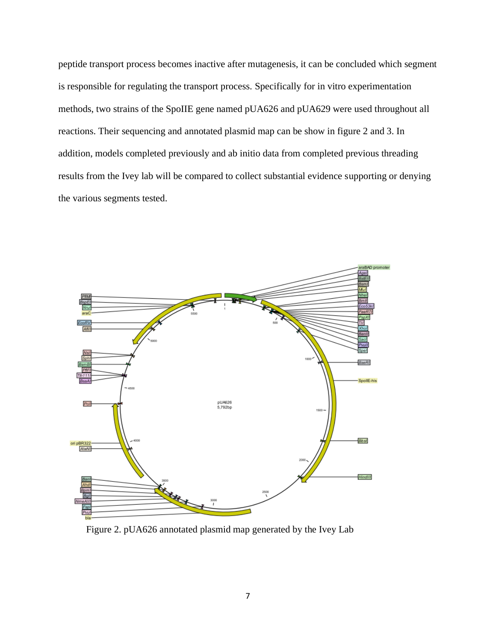peptide transport process becomes inactive after mutagenesis, it can be concluded which segment is responsible for regulating the transport process. Specifically for in vitro experimentation methods, two strains of the SpoIIE gene named pUA626 and pUA629 were used throughout all reactions. Their sequencing and annotated plasmid map can be show in figure 2 and 3. In addition, models completed previously and ab initio data from completed previous threading results from the Ivey lab will be compared to collect substantial evidence supporting or denying the various segments tested.



Figure 2. pUA626 annotated plasmid map generated by the Ivey Lab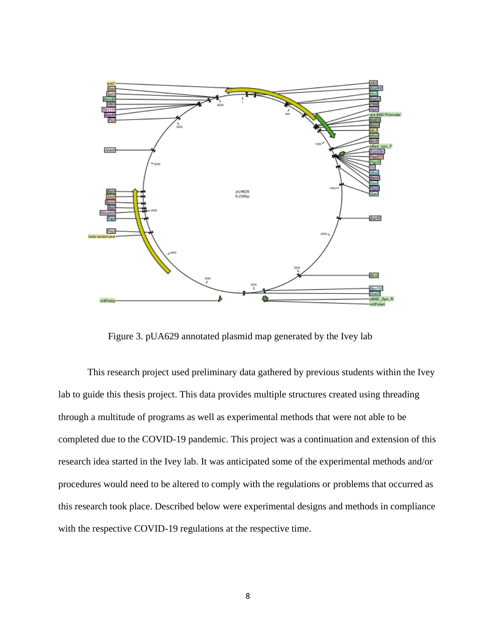

Figure 3. pUA629 annotated plasmid map generated by the Ivey lab

This research project used preliminary data gathered by previous students within the Ivey lab to guide this thesis project. This data provides multiple structures created using threading through a multitude of programs as well as experimental methods that were not able to be completed due to the COVID-19 pandemic. This project was a continuation and extension of this research idea started in the Ivey lab. It was anticipated some of the experimental methods and/or procedures would need to be altered to comply with the regulations or problems that occurred as this research took place. Described below were experimental designs and methods in compliance with the respective COVID-19 regulations at the respective time.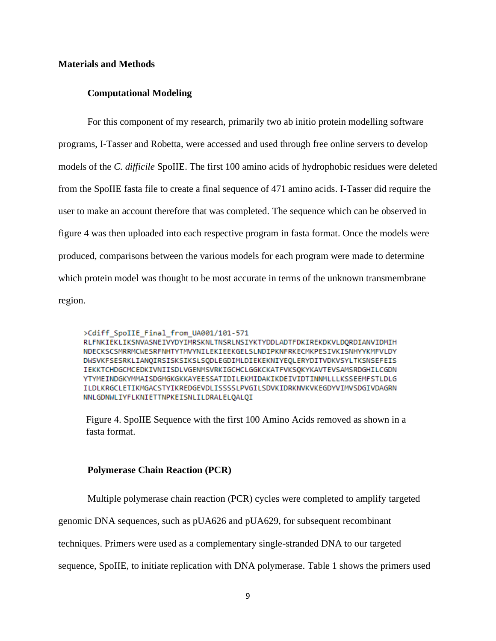#### **Materials and Methods**

#### **Computational Modeling**

For this component of my research, primarily two ab initio protein modelling software programs, I-Tasser and Robetta, were accessed and used through free online servers to develop models of the *C. difficile* SpoIIE. The first 100 amino acids of hydrophobic residues were deleted from the SpoIIE fasta file to create a final sequence of 471 amino acids. I-Tasser did require the user to make an account therefore that was completed. The sequence which can be observed in figure 4 was then uploaded into each respective program in fasta format. Once the models were produced, comparisons between the various models for each program were made to determine which protein model was thought to be most accurate in terms of the unknown transmembrane region.

>Cdiff SpoIIE Final from UA001/101-571 RLFNKIEKLIKSNVASNEIVYDYIMRSKNLTNSRLNSIYKTYDDLADTFDKIREKDKVLDQRDIANVIDMIH NDECKSCSMRRMCWESRFNHTYTMVYNILEKIEEKGELSLNDIPKNFRKECMKPESIVKISNHYYKMFVLDY DWSVKFSESRKLIANQIRSISKSIKSLSQDLEGDIMLDIEKEKNIYEQLERYDITVDKVSYLTKSNSEFEIS IEKKTCHDGCMCEDKIVNIISDLVGENMSVRKIGCHCLGGKCKATFVKSOKYKAVTEVSAMSRDGHILCGDN YTYMEINDGKYMMAISDGMGKGKKAYEESSATIDILEKMIDAKIKDEIVIDTINNMLLLKSSEEMFSTLDLG ILDLKRGCLETIKMGACSTYIKREDGEVDLISSSSLPVGILSDVKIDRKNVKVKEGDYVIMVSDGIVDAGRN NNLGDNWLIYFLKNIETTNPKEISNLILDRALELOALOI

Figure 4. SpoIIE Sequence with the first 100 Amino Acids removed as shown in a fasta format.

#### **Polymerase Chain Reaction (PCR)**

Multiple polymerase chain reaction (PCR) cycles were completed to amplify targeted

genomic DNA sequences, such as pUA626 and pUA629, for subsequent recombinant

techniques. Primers were used as a complementary single-stranded DNA to our targeted

sequence, SpoIIE, to initiate replication with DNA polymerase. Table 1 shows the primers used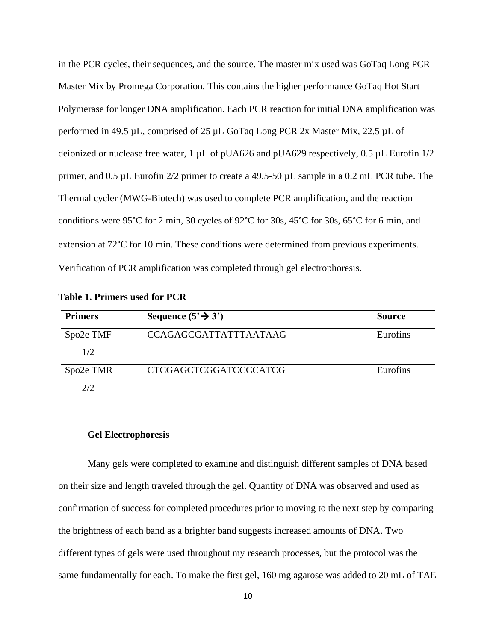in the PCR cycles, their sequences, and the source. The master mix used was GoTaq Long PCR Master Mix by Promega Corporation. This contains the higher performance GoTaq Hot Start Polymerase for longer DNA amplification. Each PCR reaction for initial DNA amplification was performed in 49.5 µL, comprised of 25 µL GoTaq Long PCR 2x Master Mix, 22.5 µL of deionized or nuclease free water,  $1 \mu L$  of pUA626 and pUA629 respectively, 0.5  $\mu L$  Eurofin  $1/2$ primer, and 0.5 µL Eurofin 2/2 primer to create a 49.5-50 µL sample in a 0.2 mL PCR tube. The Thermal cycler (MWG-Biotech) was used to complete PCR amplification, and the reaction conditions were 95°C for 2 min, 30 cycles of 92°C for 30s, 45°C for 30s, 65°C for 6 min, and extension at 72°C for 10 min. These conditions were determined from previous experiments. Verification of PCR amplification was completed through gel electrophoresis.

| <b>Table 1. Primers used for PCR</b> |  |
|--------------------------------------|--|
|                                      |  |

| <b>Primers</b> | Sequence $(5' \rightarrow 3')$ | <b>Source</b>   |
|----------------|--------------------------------|-----------------|
| Spo2e TMF      | <b>CCAGAGCGATTATTTAATAAG</b>   | <b>Eurofins</b> |
| 1/2            |                                |                 |
| Spo2e TMR      | <b>CTCGAGCTCGGATCCCCATCG</b>   | Eurofins        |
| 2/2            |                                |                 |

#### **Gel Electrophoresis**

Many gels were completed to examine and distinguish different samples of DNA based on their size and length traveled through the gel. Quantity of DNA was observed and used as confirmation of success for completed procedures prior to moving to the next step by comparing the brightness of each band as a brighter band suggests increased amounts of DNA. Two different types of gels were used throughout my research processes, but the protocol was the same fundamentally for each. To make the first gel, 160 mg agarose was added to 20 mL of TAE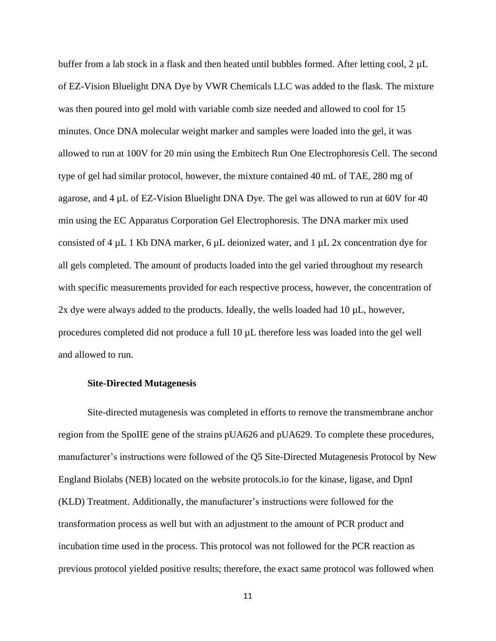buffer from a lab stock in a flask and then heated until bubbles formed. After letting cool,  $2 \mu L$ of EZ-Vision Bluelight DNA Dye by VWR Chemicals LLC was added to the flask. The mixture was then poured into gel mold with variable comb size needed and allowed to cool for 15 minutes. Once DNA molecular weight marker and samples were loaded into the gel, it was allowed to run at 100V for 20 min using the Embitech Run One Electrophoresis Cell. The second type of gel had similar protocol, however, the mixture contained 40 mL of TAE, 280 mg of agarose, and  $4 \mu L$  of EZ-Vision Bluelight DNA Dye. The gel was allowed to run at 60V for 40 min using the EC Apparatus Corporation Gel Electrophoresis. The DNA marker mix used consisted of 4 µL 1 Kb DNA marker, 6 µL deionized water, and 1 µL 2x concentration dye for all gels completed. The amount of products loaded into the gel varied throughout my research with specific measurements provided for each respective process, however, the concentration of 2x dye were always added to the products. Ideally, the wells loaded had 10 µL, however, procedures completed did not produce a full 10 µL therefore less was loaded into the gel well and allowed to run.

#### **Site-Directed Mutagenesis**

Site-directed mutagenesis was completed in efforts to remove the transmembrane anchor region from the SpoIIE gene of the strains pUA626 and pUA629. To complete these procedures, manufacturer's instructions were followed of the Q5 Site-Directed Mutagenesis Protocol by New England Biolabs (NEB) located on the website protocols.io for the kinase, ligase, and DpnI (KLD) Treatment. Additionally, the manufacturer's instructions were followed for the transformation process as well but with an adjustment to the amount of PCR product and incubation time used in the process. This protocol was not followed for the PCR reaction as previous protocol yielded positive results; therefore, the exact same protocol was followed when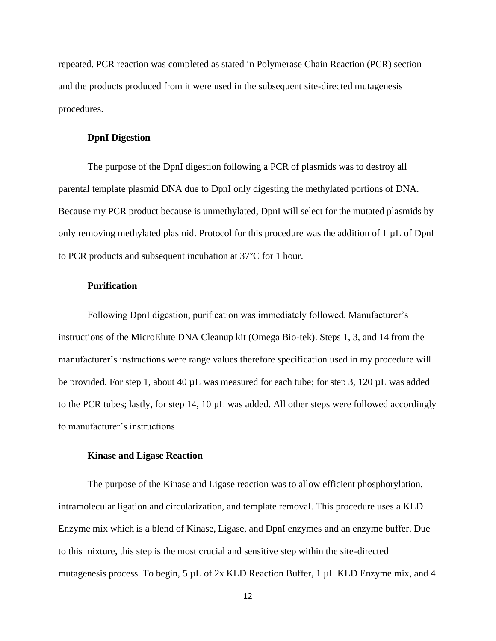repeated. PCR reaction was completed as stated in Polymerase Chain Reaction (PCR) section and the products produced from it were used in the subsequent site-directed mutagenesis procedures.

#### **DpnI Digestion**

The purpose of the DpnI digestion following a PCR of plasmids was to destroy all parental template plasmid DNA due to DpnI only digesting the methylated portions of DNA. Because my PCR product because is unmethylated, DpnI will select for the mutated plasmids by only removing methylated plasmid. Protocol for this procedure was the addition of 1 µL of DpnI to PCR products and subsequent incubation at 37°C for 1 hour.

#### **Purification**

Following DpnI digestion, purification was immediately followed. Manufacturer's instructions of the MicroElute DNA Cleanup kit (Omega Bio-tek). Steps 1, 3, and 14 from the manufacturer's instructions were range values therefore specification used in my procedure will be provided. For step 1, about 40  $\mu$ L was measured for each tube; for step 3, 120  $\mu$ L was added to the PCR tubes; lastly, for step 14, 10 µL was added. All other steps were followed accordingly to manufacturer's instructions

#### **Kinase and Ligase Reaction**

The purpose of the Kinase and Ligase reaction was to allow efficient phosphorylation, intramolecular ligation and circularization, and template removal. This procedure uses a KLD Enzyme mix which is a blend of Kinase, Ligase, and DpnI enzymes and an enzyme buffer. Due to this mixture, this step is the most crucial and sensitive step within the site-directed mutagenesis process. To begin, 5 µL of 2x KLD Reaction Buffer, 1 µL KLD Enzyme mix, and 4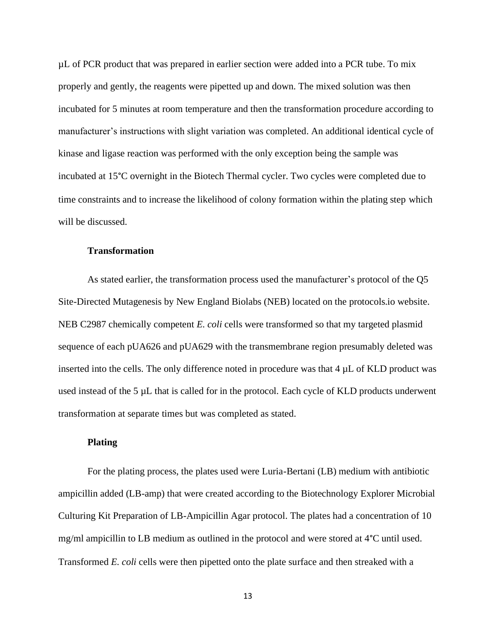µL of PCR product that was prepared in earlier section were added into a PCR tube. To mix properly and gently, the reagents were pipetted up and down. The mixed solution was then incubated for 5 minutes at room temperature and then the transformation procedure according to manufacturer's instructions with slight variation was completed. An additional identical cycle of kinase and ligase reaction was performed with the only exception being the sample was incubated at 15°C overnight in the Biotech Thermal cycler. Two cycles were completed due to time constraints and to increase the likelihood of colony formation within the plating step which will be discussed.

#### **Transformation**

As stated earlier, the transformation process used the manufacturer's protocol of the Q5 Site-Directed Mutagenesis by New England Biolabs (NEB) located on the protocols.io website. NEB C2987 chemically competent *E. coli* cells were transformed so that my targeted plasmid sequence of each pUA626 and pUA629 with the transmembrane region presumably deleted was inserted into the cells. The only difference noted in procedure was that  $4 \mu L$  of KLD product was used instead of the 5 µL that is called for in the protocol. Each cycle of KLD products underwent transformation at separate times but was completed as stated.

#### **Plating**

For the plating process, the plates used were Luria-Bertani (LB) medium with antibiotic ampicillin added (LB-amp) that were created according to the Biotechnology Explorer Microbial Culturing Kit Preparation of LB-Ampicillin Agar protocol. The plates had a concentration of 10 mg/ml ampicillin to LB medium as outlined in the protocol and were stored at 4°C until used. Transformed *E. coli* cells were then pipetted onto the plate surface and then streaked with a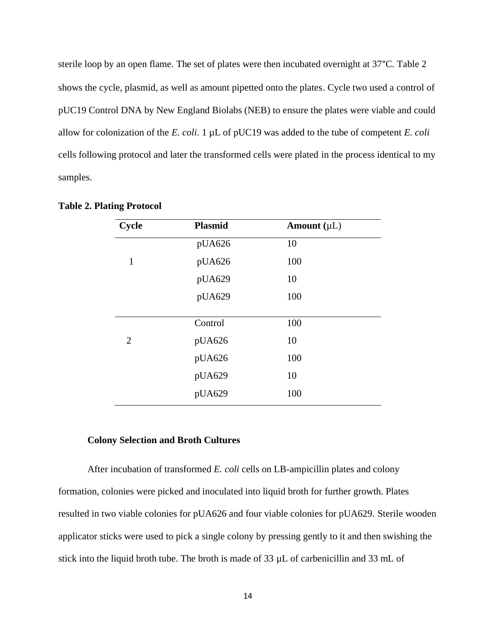sterile loop by an open flame. The set of plates were then incubated overnight at 37°C. Table 2 shows the cycle, plasmid, as well as amount pipetted onto the plates. Cycle two used a control of pUC19 Control DNA by New England Biolabs (NEB) to ensure the plates were viable and could allow for colonization of the *E. coli*. 1 µL of pUC19 was added to the tube of competent *E. coli* cells following protocol and later the transformed cells were plated in the process identical to my samples.

| Cycle          | <b>Plasmid</b> | Amount $(\mu L)$ |  |
|----------------|----------------|------------------|--|
|                | pUA626         | 10               |  |
| $\mathbf{1}$   | pUA626         | 100              |  |
|                | pUA629         | 10               |  |
|                | pUA629         | 100              |  |
|                |                |                  |  |
|                | Control        | 100              |  |
| $\overline{2}$ | pUA626         | 10               |  |
|                | pUA626         | 100              |  |
|                | pUA629         | 10               |  |
|                | pUA629         | 100              |  |

**Table 2. Plating Protocol**

#### **Colony Selection and Broth Cultures**

After incubation of transformed *E. coli* cells on LB-ampicillin plates and colony formation, colonies were picked and inoculated into liquid broth for further growth. Plates resulted in two viable colonies for pUA626 and four viable colonies for pUA629. Sterile wooden applicator sticks were used to pick a single colony by pressing gently to it and then swishing the stick into the liquid broth tube. The broth is made of 33 µL of carbenicillin and 33 mL of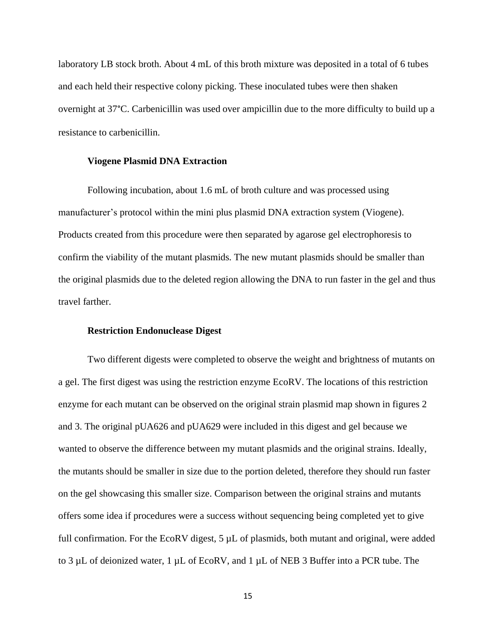laboratory LB stock broth. About 4 mL of this broth mixture was deposited in a total of 6 tubes and each held their respective colony picking. These inoculated tubes were then shaken overnight at 37°C. Carbenicillin was used over ampicillin due to the more difficulty to build up a resistance to carbenicillin.

#### **Viogene Plasmid DNA Extraction**

Following incubation, about 1.6 mL of broth culture and was processed using manufacturer's protocol within the mini plus plasmid DNA extraction system (Viogene). Products created from this procedure were then separated by agarose gel electrophoresis to confirm the viability of the mutant plasmids. The new mutant plasmids should be smaller than the original plasmids due to the deleted region allowing the DNA to run faster in the gel and thus travel farther.

#### **Restriction Endonuclease Digest**

Two different digests were completed to observe the weight and brightness of mutants on a gel. The first digest was using the restriction enzyme EcoRV. The locations of this restriction enzyme for each mutant can be observed on the original strain plasmid map shown in figures 2 and 3. The original pUA626 and pUA629 were included in this digest and gel because we wanted to observe the difference between my mutant plasmids and the original strains. Ideally, the mutants should be smaller in size due to the portion deleted, therefore they should run faster on the gel showcasing this smaller size. Comparison between the original strains and mutants offers some idea if procedures were a success without sequencing being completed yet to give full confirmation. For the EcoRV digest,  $5 \mu L$  of plasmids, both mutant and original, were added to 3 µL of deionized water, 1 µL of EcoRV, and 1 µL of NEB 3 Buffer into a PCR tube. The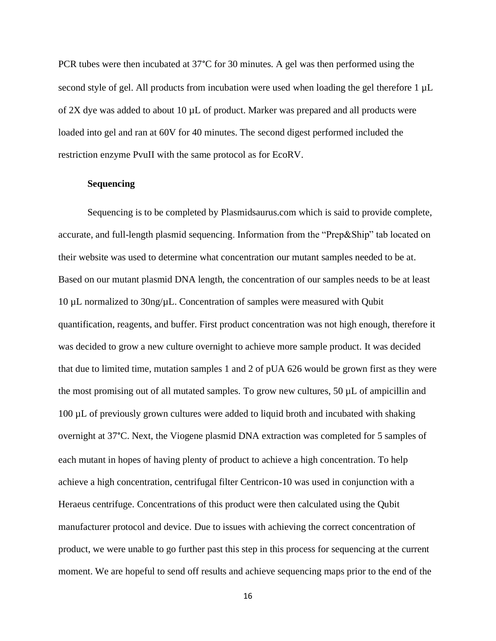PCR tubes were then incubated at 37°C for 30 minutes. A gel was then performed using the second style of gel. All products from incubation were used when loading the gel therefore 1  $\mu$ L of  $2X$  dye was added to about 10  $\mu$ L of product. Marker was prepared and all products were loaded into gel and ran at 60V for 40 minutes. The second digest performed included the restriction enzyme PvuII with the same protocol as for EcoRV.

#### **Sequencing**

Sequencing is to be completed by Plasmidsaurus.com which is said to provide complete, accurate, and full-length plasmid sequencing. Information from the "Prep&Ship" tab located on their website was used to determine what concentration our mutant samples needed to be at. Based on our mutant plasmid DNA length, the concentration of our samples needs to be at least 10 µL normalized to 30ng/µL. Concentration of samples were measured with Qubit quantification, reagents, and buffer. First product concentration was not high enough, therefore it was decided to grow a new culture overnight to achieve more sample product. It was decided that due to limited time, mutation samples 1 and 2 of pUA 626 would be grown first as they were the most promising out of all mutated samples. To grow new cultures,  $50 \mu L$  of ampicillin and 100 µL of previously grown cultures were added to liquid broth and incubated with shaking overnight at 37°C. Next, the Viogene plasmid DNA extraction was completed for 5 samples of each mutant in hopes of having plenty of product to achieve a high concentration. To help achieve a high concentration, centrifugal filter Centricon-10 was used in conjunction with a Heraeus centrifuge. Concentrations of this product were then calculated using the Qubit manufacturer protocol and device. Due to issues with achieving the correct concentration of product, we were unable to go further past this step in this process for sequencing at the current moment. We are hopeful to send off results and achieve sequencing maps prior to the end of the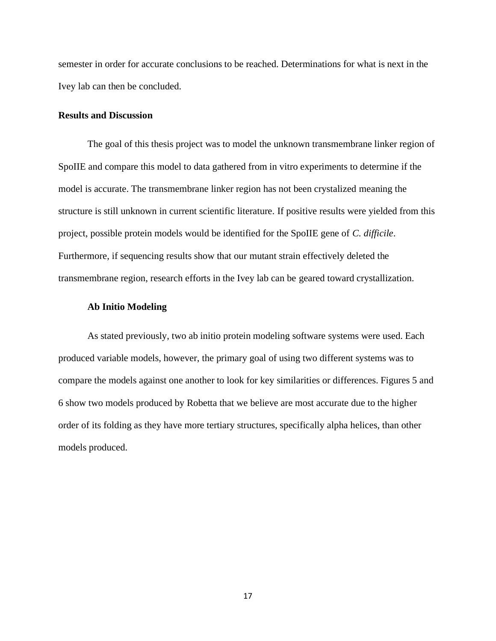semester in order for accurate conclusions to be reached. Determinations for what is next in the Ivey lab can then be concluded.

#### **Results and Discussion**

The goal of this thesis project was to model the unknown transmembrane linker region of SpoIIE and compare this model to data gathered from in vitro experiments to determine if the model is accurate. The transmembrane linker region has not been crystalized meaning the structure is still unknown in current scientific literature. If positive results were yielded from this project, possible protein models would be identified for the SpoIIE gene of *C. difficile*. Furthermore, if sequencing results show that our mutant strain effectively deleted the transmembrane region, research efforts in the Ivey lab can be geared toward crystallization.

#### **Ab Initio Modeling**

As stated previously, two ab initio protein modeling software systems were used. Each produced variable models, however, the primary goal of using two different systems was to compare the models against one another to look for key similarities or differences. Figures 5 and 6 show two models produced by Robetta that we believe are most accurate due to the higher order of its folding as they have more tertiary structures, specifically alpha helices, than other models produced.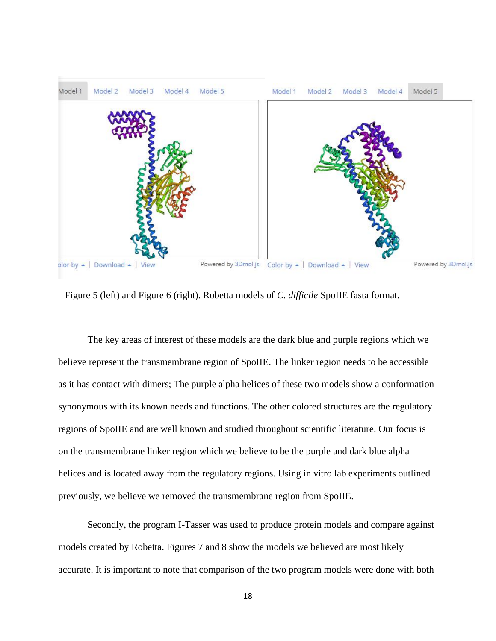

Figure 5 (left) and Figure 6 (right). Robetta models of *C. difficile* SpoIIE fasta format.

The key areas of interest of these models are the dark blue and purple regions which we believe represent the transmembrane region of SpoIIE. The linker region needs to be accessible as it has contact with dimers; The purple alpha helices of these two models show a conformation synonymous with its known needs and functions. The other colored structures are the regulatory regions of SpoIIE and are well known and studied throughout scientific literature. Our focus is on the transmembrane linker region which we believe to be the purple and dark blue alpha helices and is located away from the regulatory regions. Using in vitro lab experiments outlined previously, we believe we removed the transmembrane region from SpoIIE.

Secondly, the program I-Tasser was used to produce protein models and compare against models created by Robetta. Figures 7 and 8 show the models we believed are most likely accurate. It is important to note that comparison of the two program models were done with both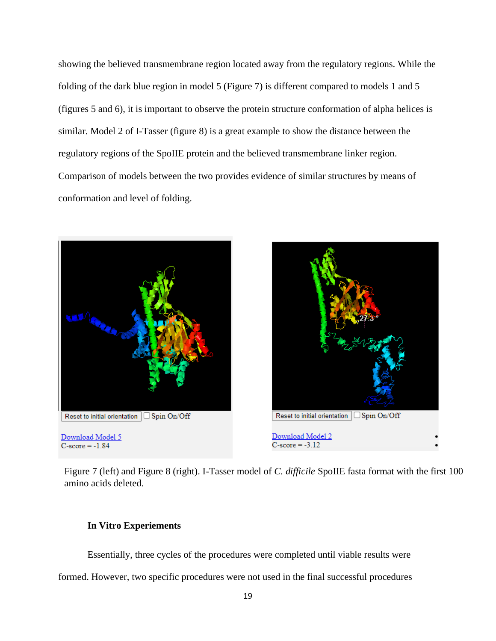showing the believed transmembrane region located away from the regulatory regions. While the folding of the dark blue region in model 5 (Figure 7) is different compared to models 1 and 5 (figures 5 and 6), it is important to observe the protein structure conformation of alpha helices is similar. Model 2 of I-Tasser (figure 8) is a great example to show the distance between the regulatory regions of the SpoIIE protein and the believed transmembrane linker region. Comparison of models between the two provides evidence of similar structures by means of conformation and level of folding.





Figure 7 (left) and Figure 8 (right). I-Tasser model of *C. difficile* SpoIIE fasta format with the first 100 amino acids deleted.

#### **In Vitro Experiements**

Essentially, three cycles of the procedures were completed until viable results were

formed. However, two specific procedures were not used in the final successful procedures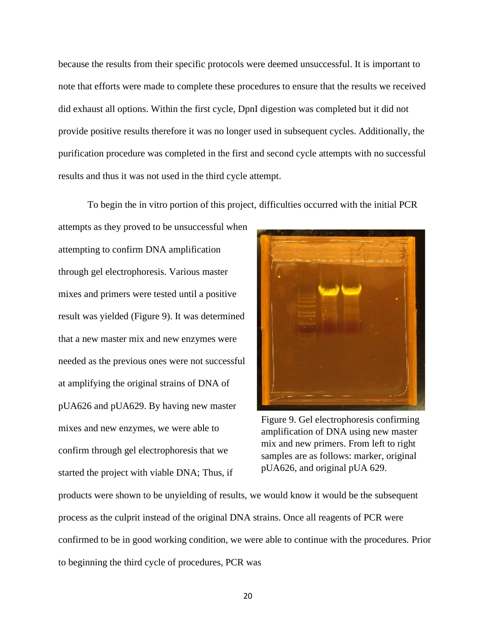because the results from their specific protocols were deemed unsuccessful. It is important to note that efforts were made to complete these procedures to ensure that the results we received did exhaust all options. Within the first cycle, DpnI digestion was completed but it did not provide positive results therefore it was no longer used in subsequent cycles. Additionally, the purification procedure was completed in the first and second cycle attempts with no successful results and thus it was not used in the third cycle attempt.

To begin the in vitro portion of this project, difficulties occurred with the initial PCR

attempts as they proved to be unsuccessful when attempting to confirm DNA amplification through gel electrophoresis. Various master mixes and primers were tested until a positive result was yielded (Figure 9). It was determined that a new master mix and new enzymes were needed as the previous ones were not successful at amplifying the original strains of DNA of pUA626 and pUA629. By having new master mixes and new enzymes, we were able to confirm through gel electrophoresis that we started the project with viable DNA; Thus, if



Figure 9. Gel electrophoresis confirming amplification of DNA using new master mix and new primers. From left to right samples are as follows: marker, original pUA626, and original pUA 629.

products were shown to be unyielding of results, we would know it would be the subsequent process as the culprit instead of the original DNA strains. Once all reagents of PCR were confirmed to be in good working condition, we were able to continue with the procedures. Prior to beginning the third cycle of procedures, PCR was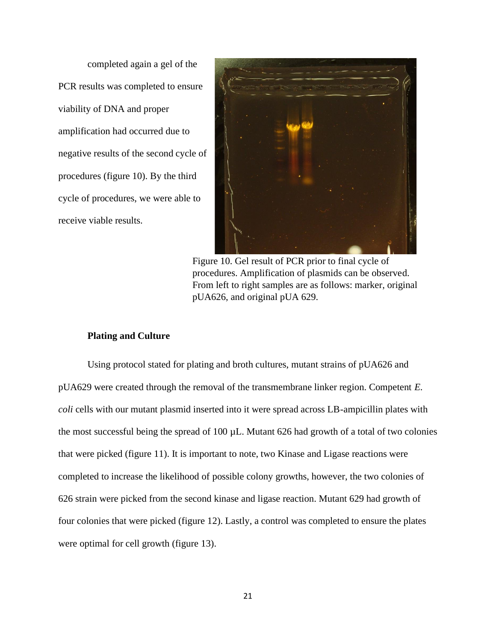completed again a gel of the PCR results was completed to ensure viability of DNA and proper amplification had occurred due to negative results of the second cycle of procedures (figure 10). By the third cycle of procedures, we were able to receive viable results.



Figure 10. Gel result of PCR prior to final cycle of procedures. Amplification of plasmids can be observed. From left to right samples are as follows: marker, original pUA626, and original pUA 629.

#### **Plating and Culture**

Using protocol stated for plating and broth cultures, mutant strains of pUA626 and pUA629 were created through the removal of the transmembrane linker region. Competent *E. coli* cells with our mutant plasmid inserted into it were spread across LB-ampicillin plates with the most successful being the spread of 100 µL. Mutant 626 had growth of a total of two colonies that were picked (figure 11). It is important to note, two Kinase and Ligase reactions were completed to increase the likelihood of possible colony growths, however, the two colonies of 626 strain were picked from the second kinase and ligase reaction. Mutant 629 had growth of four colonies that were picked (figure 12). Lastly, a control was completed to ensure the plates were optimal for cell growth (figure 13).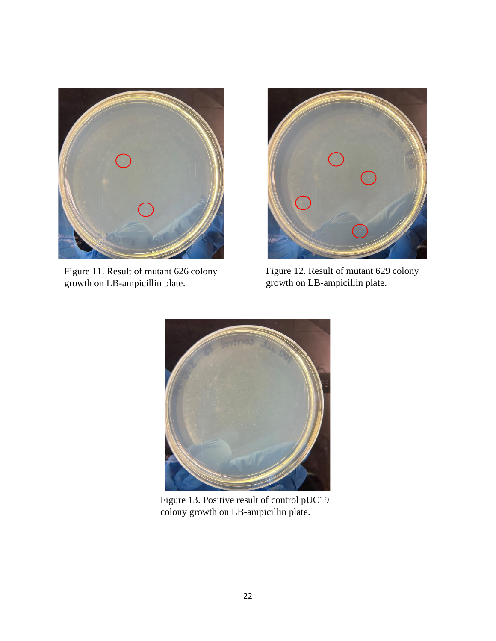

Figure 11. Result of mutant 626 colony growth on LB-ampicillin plate.



Figure 12. Result of mutant 629 colony growth on LB-ampicillin plate.



Figure 13. Positive result of control pUC19 colony growth on LB-ampicillin plate.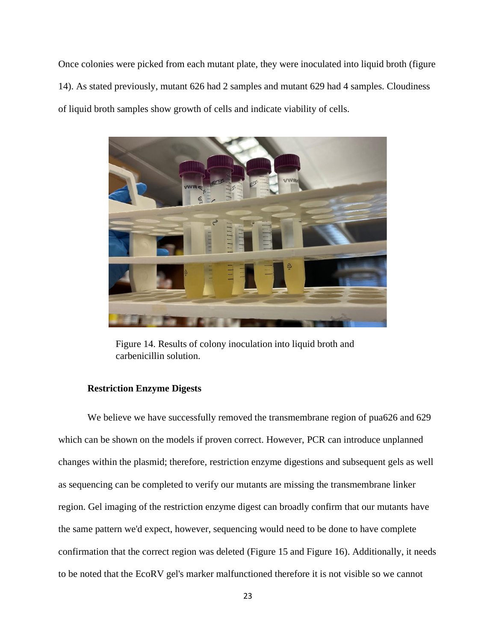Once colonies were picked from each mutant plate, they were inoculated into liquid broth (figure 14). As stated previously, mutant 626 had 2 samples and mutant 629 had 4 samples. Cloudiness of liquid broth samples show growth of cells and indicate viability of cells.



Figure 14. Results of colony inoculation into liquid broth and carbenicillin solution.

### **Restriction Enzyme Digests**

We believe we have successfully removed the transmembrane region of pua626 and 629 which can be shown on the models if proven correct. However, PCR can introduce unplanned changes within the plasmid; therefore, restriction enzyme digestions and subsequent gels as well as sequencing can be completed to verify our mutants are missing the transmembrane linker region. Gel imaging of the restriction enzyme digest can broadly confirm that our mutants have the same pattern we'd expect, however, sequencing would need to be done to have complete confirmation that the correct region was deleted (Figure 15 and Figure 16). Additionally, it needs to be noted that the EcoRV gel's marker malfunctioned therefore it is not visible so we cannot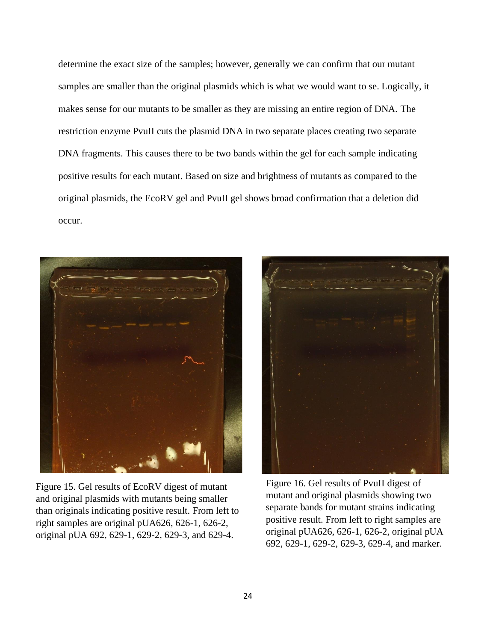determine the exact size of the samples; however, generally we can confirm that our mutant samples are smaller than the original plasmids which is what we would want to se. Logically, it makes sense for our mutants to be smaller as they are missing an entire region of DNA. The restriction enzyme PvuII cuts the plasmid DNA in two separate places creating two separate DNA fragments. This causes there to be two bands within the gel for each sample indicating positive results for each mutant. Based on size and brightness of mutants as compared to the original plasmids, the EcoRV gel and PvuII gel shows broad confirmation that a deletion did occur.



Figure 15. Gel results of EcoRV digest of mutant and original plasmids with mutants being smaller than originals indicating positive result. From left to right samples are original pUA626, 626-1, 626-2, original pUA 692, 629-1, 629-2, 629-3, and 629-4.



Figure 16. Gel results of PvuII digest of mutant and original plasmids showing two separate bands for mutant strains indicating positive result. From left to right samples are original pUA626, 626-1, 626-2, original pUA 692, 629-1, 629-2, 629-3, 629-4, and marker.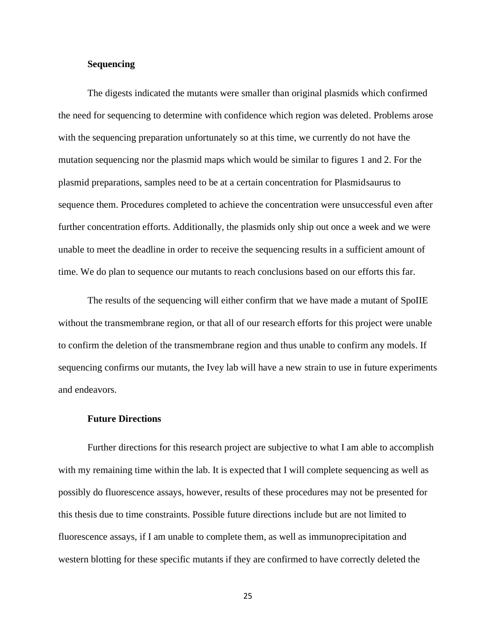#### **Sequencing**

The digests indicated the mutants were smaller than original plasmids which confirmed the need for sequencing to determine with confidence which region was deleted. Problems arose with the sequencing preparation unfortunately so at this time, we currently do not have the mutation sequencing nor the plasmid maps which would be similar to figures 1 and 2. For the plasmid preparations, samples need to be at a certain concentration for Plasmidsaurus to sequence them. Procedures completed to achieve the concentration were unsuccessful even after further concentration efforts. Additionally, the plasmids only ship out once a week and we were unable to meet the deadline in order to receive the sequencing results in a sufficient amount of time. We do plan to sequence our mutants to reach conclusions based on our efforts this far.

The results of the sequencing will either confirm that we have made a mutant of SpoIIE without the transmembrane region, or that all of our research efforts for this project were unable to confirm the deletion of the transmembrane region and thus unable to confirm any models. If sequencing confirms our mutants, the Ivey lab will have a new strain to use in future experiments and endeavors.

#### **Future Directions**

Further directions for this research project are subjective to what I am able to accomplish with my remaining time within the lab. It is expected that I will complete sequencing as well as possibly do fluorescence assays, however, results of these procedures may not be presented for this thesis due to time constraints. Possible future directions include but are not limited to fluorescence assays, if I am unable to complete them, as well as immunoprecipitation and western blotting for these specific mutants if they are confirmed to have correctly deleted the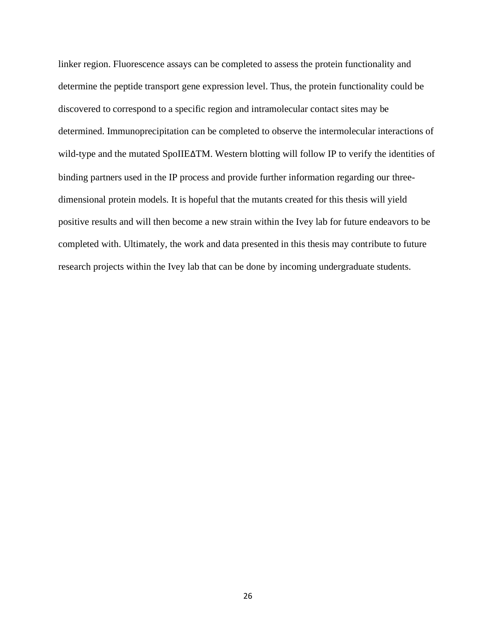linker region. Fluorescence assays can be completed to assess the protein functionality and determine the peptide transport gene expression level. Thus, the protein functionality could be discovered to correspond to a specific region and intramolecular contact sites may be determined. Immunoprecipitation can be completed to observe the intermolecular interactions of wild-type and the mutated SpoIIE∆TM. Western blotting will follow IP to verify the identities of binding partners used in the IP process and provide further information regarding our threedimensional protein models. It is hopeful that the mutants created for this thesis will yield positive results and will then become a new strain within the Ivey lab for future endeavors to be completed with. Ultimately, the work and data presented in this thesis may contribute to future research projects within the Ivey lab that can be done by incoming undergraduate students.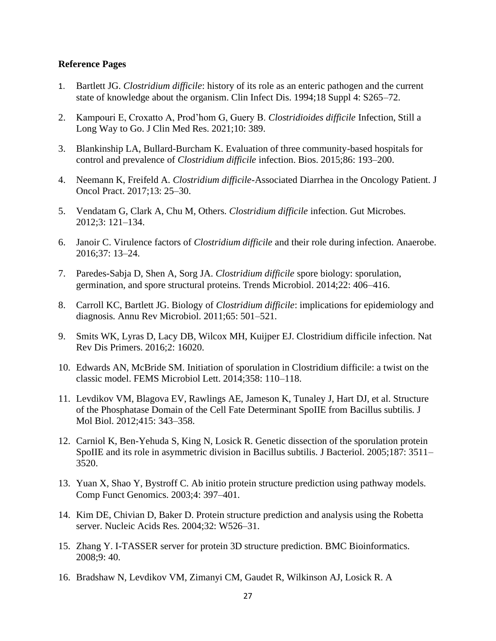#### **Reference Pages**

- 1. Bartlett JG. *Clostridium difficile*[: history of its role as an enteric pathogen and the current](http://paperpile.com/b/KhCDF0/4nu9)  [state of knowledge about the organism. Clin Infect Dis. 1994;18 Suppl 4: S265–72.](http://paperpile.com/b/KhCDF0/4nu9)
- 2. [Kampouri E, Croxatto A, Prod'hom G, Guery B.](http://paperpile.com/b/KhCDF0/FspS) *Clostridioides difficile* Infection, Still a [Long Way to Go. J Clin Med Res. 2021;10: 389.](http://paperpile.com/b/KhCDF0/FspS)
- 3. [Blankinship LA, Bullard-Burcham K. Evaluation of three community-based hospitals for](http://paperpile.com/b/KhCDF0/HWvI)  control and prevalence of *Clostridium difficile* [infection. Bios. 2015;86: 193–200.](http://paperpile.com/b/KhCDF0/HWvI)
- 4. Neemann K, Freifeld A. *Clostridium difficile*[-Associated Diarrhea in the Oncology Patient. J](http://paperpile.com/b/KhCDF0/06oo)  [Oncol Pract. 2017;13: 25–30.](http://paperpile.com/b/KhCDF0/06oo)
- 5. [Vendatam G, Clark A, Chu M, Others.](http://paperpile.com/b/KhCDF0/9jfh) *Clostridium difficile* infection. Gut Microbes. [2012;3: 121–134.](http://paperpile.com/b/KhCDF0/9jfh)
- 6. Janoir C. Virulence factors of *Clostridium difficile* [and their role during infection. Anaerobe.](http://paperpile.com/b/KhCDF0/6Dyb) [2016;37: 13–24.](http://paperpile.com/b/KhCDF0/6Dyb)
- 7. [Paredes-Sabja D, Shen A, Sorg JA.](http://paperpile.com/b/KhCDF0/DWly) *Clostridium difficile* spore biology: sporulation, [germination, and spore structural proteins. Trends Microbiol. 2014;22: 406–416.](http://paperpile.com/b/KhCDF0/DWly)
- 8. [Carroll KC, Bartlett JG. Biology of](http://paperpile.com/b/KhCDF0/PEGy) *[Clostridium difficile](http://paperpile.com/b/KhCDF0/PEGy)*[: implications for epidemiology and](http://paperpile.com/b/KhCDF0/PEGy)  [diagnosis. Annu Rev Microbiol. 2011;65: 501–521.](http://paperpile.com/b/KhCDF0/PEGy)
- 9. [Smits WK, Lyras D, Lacy DB, Wilcox MH, Kuijper EJ. Clostridium difficile infection. Nat](http://paperpile.com/b/KhCDF0/qXQu)  [Rev Dis Primers. 2016;2: 16020.](http://paperpile.com/b/KhCDF0/qXQu)
- 10. [Edwards AN, McBride SM. Initiation of sporulation in Clostridium difficile: a twist on the](http://paperpile.com/b/KhCDF0/vfRJ)  [classic model. FEMS Microbiol Lett. 2014;358: 110–118.](http://paperpile.com/b/KhCDF0/vfRJ)
- 11. [Levdikov VM, Blagova EV, Rawlings AE, Jameson K, Tunaley J, Hart DJ, et al. Structure](http://paperpile.com/b/KhCDF0/lfFa)  [of the Phosphatase Domain of the Cell Fate Determinant SpoIIE from Bacillus subtilis. J](http://paperpile.com/b/KhCDF0/lfFa)  [Mol Biol. 2012;415: 343–358.](http://paperpile.com/b/KhCDF0/lfFa)
- 12. [Carniol K, Ben-Yehuda S, King N, Losick R. Genetic dissection of the sporulation protein](http://paperpile.com/b/KhCDF0/6GAJ)  [SpoIIE and its role in asymmetric division in Bacillus subtilis. J Bacteriol. 2005;187: 3511–](http://paperpile.com/b/KhCDF0/6GAJ) [3520.](http://paperpile.com/b/KhCDF0/6GAJ)
- 13. [Yuan X, Shao Y, Bystroff C. Ab initio protein structure prediction using pathway models.](http://paperpile.com/b/KhCDF0/COMT)  [Comp Funct Genomics. 2003;4: 397–401.](http://paperpile.com/b/KhCDF0/COMT)
- 14. [Kim DE, Chivian D, Baker D. Protein structure prediction and analysis using the Robetta](http://paperpile.com/b/KhCDF0/8XSA)  [server. Nucleic Acids Res. 2004;32: W526–31.](http://paperpile.com/b/KhCDF0/8XSA)
- 15. [Zhang Y. I-TASSER server for protein 3D structure prediction. BMC Bioinformatics.](http://paperpile.com/b/KhCDF0/kwoE)  [2008;9: 40.](http://paperpile.com/b/KhCDF0/kwoE)
- 16. [Bradshaw N, Levdikov VM, Zimanyi CM, Gaudet R, Wilkinson AJ, Losick R. A](http://paperpile.com/b/KhCDF0/YCtw)